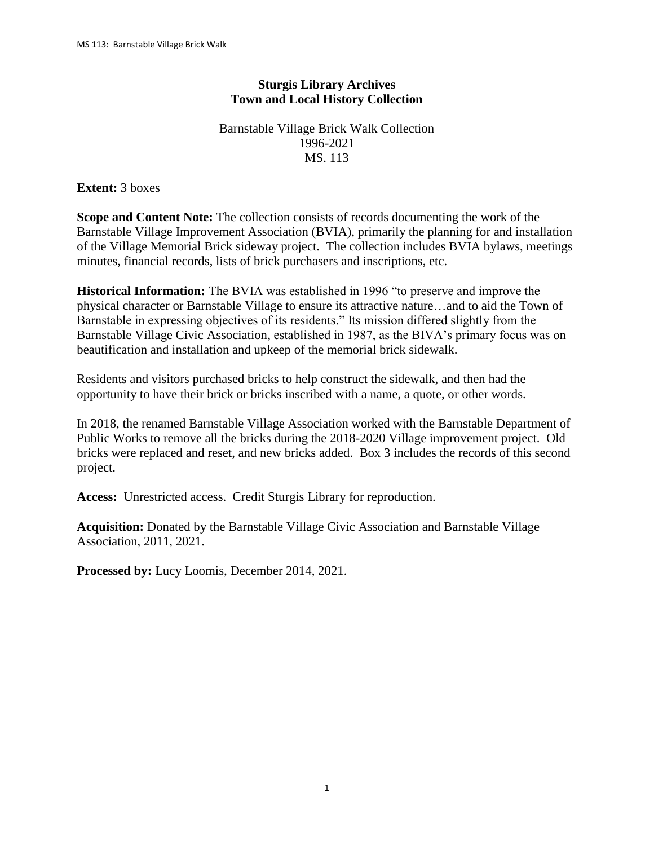## **Sturgis Library Archives Town and Local History Collection**

## Barnstable Village Brick Walk Collection 1996-2021 MS. 113

**Extent:** 3 boxes

**Scope and Content Note:** The collection consists of records documenting the work of the Barnstable Village Improvement Association (BVIA), primarily the planning for and installation of the Village Memorial Brick sideway project. The collection includes BVIA bylaws, meetings minutes, financial records, lists of brick purchasers and inscriptions, etc.

**Historical Information:** The BVIA was established in 1996 "to preserve and improve the physical character or Barnstable Village to ensure its attractive nature…and to aid the Town of Barnstable in expressing objectives of its residents." Its mission differed slightly from the Barnstable Village Civic Association, established in 1987, as the BIVA's primary focus was on beautification and installation and upkeep of the memorial brick sidewalk.

Residents and visitors purchased bricks to help construct the sidewalk, and then had the opportunity to have their brick or bricks inscribed with a name, a quote, or other words.

In 2018, the renamed Barnstable Village Association worked with the Barnstable Department of Public Works to remove all the bricks during the 2018-2020 Village improvement project. Old bricks were replaced and reset, and new bricks added. Box 3 includes the records of this second project.

**Access:** Unrestricted access. Credit Sturgis Library for reproduction.

**Acquisition:** Donated by the Barnstable Village Civic Association and Barnstable Village Association, 2011, 2021.

**Processed by:** Lucy Loomis, December 2014, 2021.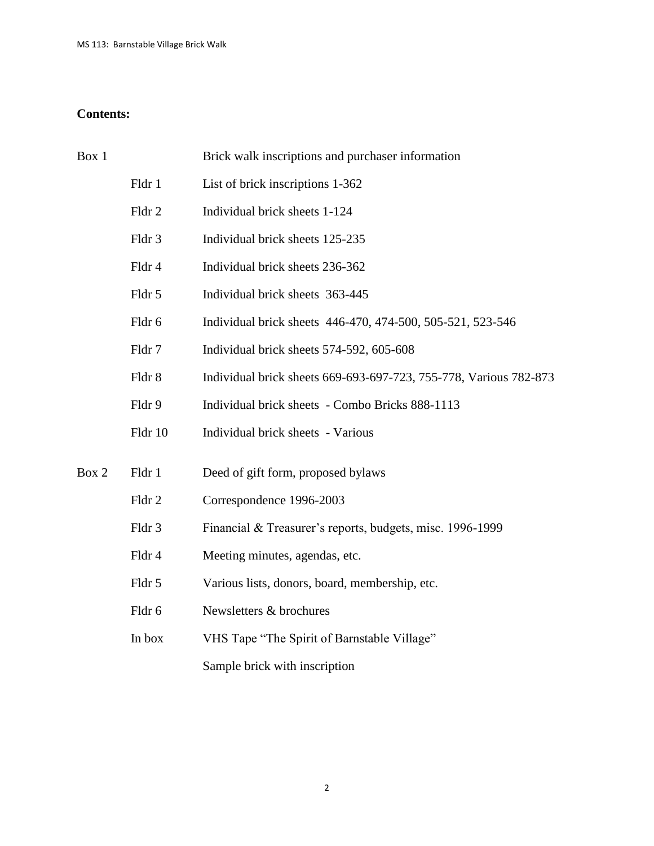## **Contents:**

| Box 1 |         | Brick walk inscriptions and purchaser information                 |
|-------|---------|-------------------------------------------------------------------|
|       | Fldr 1  | List of brick inscriptions 1-362                                  |
|       | Fldr 2  | Individual brick sheets 1-124                                     |
|       | Fldr 3  | Individual brick sheets 125-235                                   |
|       | Fldr 4  | Individual brick sheets 236-362                                   |
|       | Fldr 5  | Individual brick sheets 363-445                                   |
|       | Fldr 6  | Individual brick sheets 446-470, 474-500, 505-521, 523-546        |
|       | Fldr 7  | Individual brick sheets 574-592, 605-608                          |
|       | Fldr 8  | Individual brick sheets 669-693-697-723, 755-778, Various 782-873 |
|       | Fldr 9  | Individual brick sheets - Combo Bricks 888-1113                   |
|       | Fldr 10 | Individual brick sheets - Various                                 |
| Box 2 | Fldr 1  | Deed of gift form, proposed bylaws                                |
|       | Fldr 2  | Correspondence 1996-2003                                          |
|       | Fldr 3  | Financial & Treasurer's reports, budgets, misc. 1996-1999         |
|       | Fldr 4  | Meeting minutes, agendas, etc.                                    |
|       | Fldr 5  | Various lists, donors, board, membership, etc.                    |
|       | Fldr 6  | Newsletters & brochures                                           |
|       | In box  | VHS Tape "The Spirit of Barnstable Village"                       |
|       |         | Sample brick with inscription                                     |